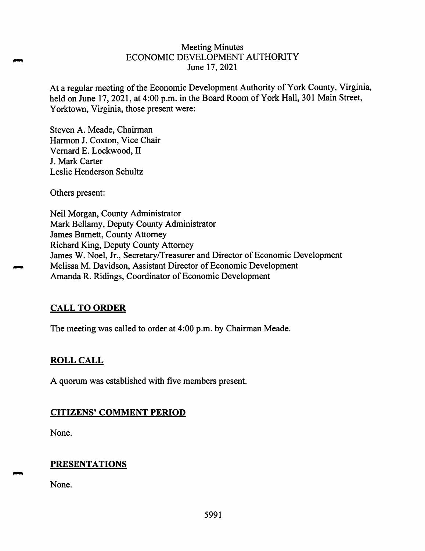#### Meeting Minutes ECONOMIC DEVELOPMENT AUTHORITY June 17, 2021

At a regular meeting of the Economic Development Authority of York County, Virginia, held on June 17, 2021, at 4:00 p.m. in the Board Room of York Hall, 301 Main Street, Yorktown, Virginia, those present were:

Steven A. Meade, Chairman Harmon J. Coxton, Vice Chair Vemard E. Lockwood, II J. Mark Carter Leslie Henderson Schultz

Others present:

Neil Morgan, County Administrator Mark Bellamy, Deputy County Administrator James Barnett, County Attorney Richard King, Deputy County Attorney James W. Noel, Jr., Secretary/Treasurer and Director of Economic Development Melissa M. Davidson, Assistant Director of Economic Development Amanda R. Ridings, Coordinator of Economic Development

# **CALL TO ORDER**

The meeting was called to order at 4:00 p.m. by Chairman Meade.

# **ROLL CALL**

A quorum was established with five members present.

# **CITIZENS' COMMENT PERIOD**

None.

# **PRESENTATIONS**

None.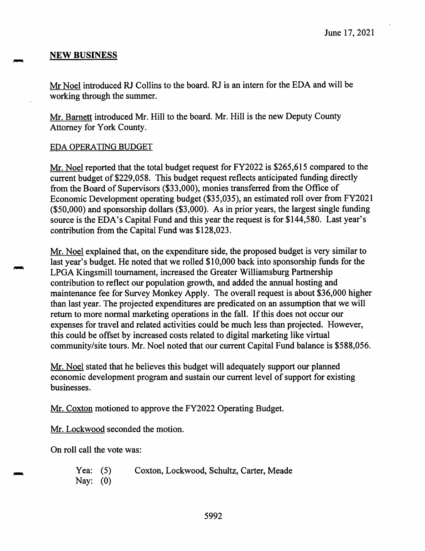## **NEW BUSINESS**

Mr Noel introduced RJ Collins to the board. RJ is an intern for the EDA and will be working through the summer.

Mr. Barnett introduced Mr. Hill to the board. Mr. Hill is the new Deputy County Attorney for York County.

#### EDA OPERATING BUDGET

Mr. Noel reported that the total budget request for FY2022 is \$265,615 compared to the current budget of \$229,058. This budget request reflects anticipated funding directly from the Board of Supervisors (\$33,000), monies transferred from the Office of Economic Development operating budget (\$35,035), an estimated roll over from FY2021 (\$50,000) and sponsorship dollars (\$3,000). As in prior years, the largest single funding source is the EDA's Capital Fund and this year the request is for \$144,580. Last year's contribution from the Capital Fund was \$128,023.

Mr. Noel explained that, on the expenditure side, the proposed budget is very similar to last year's budget. He noted that we rolled \$10,000 back into sponsorship funds for the LPGA Kingsmill tournament, increased the Greater Williamsburg Partnership contribution to reflect our population growth, and added the annual hosting and maintenance fee for Survey Monkey Apply. The overall request is about \$36,000 higher than last year. The projected expenditures are predicated on an assumption that we will return to more normal marketing operations in the fall. If this does not occur our expenses for travel and related activities could be much less than projected. However, this could be offset by increased costs related to digital marketing like virtual community/site tours. Mr. Noel noted that our current Capital Fund balance is \$588,056.

Mr. Noel stated that he believes this budget will adequately support our planned economic development program and sustain our current level of support for existing businesses.

Mr. Coxton motioned to approve the FY2022 Operating Budget.

Mr. Lockwood seconded the motion.

On roll call the vote was:

Yea: (5) Nay: (0) Coxton, Lockwood, Schultz, Carter, Meade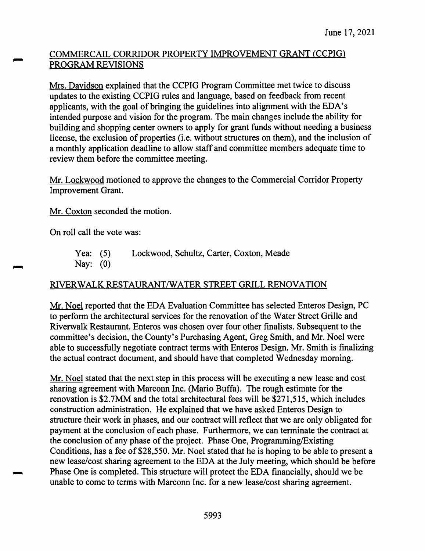# COMMERCAIL CORRIDOR PROPERTY IMPROVEMENT GRANT (CCPIG) PROGRAM REVISIONS

Mrs. Davidson explained that the CCPIG Program Committee met twice to discuss updates to the existing CCPIG rules and language, based on feedback from recent applicants, with the goal of bringing the guidelines into alignment with the EDA's intended purpose and vision for the program. The main changes include the ability for building and shopping center owners to apply for grant funds without needing a business license, the exclusion of properties (i.e. without structures on them), and the inclusion of a monthly application deadline to allow staff and committee members adequate time to review them before the committee meeting.

Mr. Lockwood motioned to approve the changes to the Commercial Corridor Property Improvement Grant.

Mr. Coxton seconded the motion.

On roll call the vote was:

Yea: (5) Lockwood, Schultz, Carter, Coxton, Meade Nay: (0)

## RIVERWALK RESTAURANT/WATER STREET GRILL RENOVATION

Mr. Noel reported that the EDA Evaluation Committee has selected Enteros Design, PC to perform the architectural services for the renovation of the Water Street Grille and Riverwalk Restaurant. Enteros was chosen over four other finalists. Subsequent to the committee's decision, the County's Purchasing Agent, Greg Smith, and Mr. Noel were able to successfully negotiate contract terms with Enteros Design. Mr. Smith is finalizing the actual contract document, and should have that completed Wednesday morning.

Mr. Noel stated that the next step in this process will be executing a new lease and cost sharing agreement with Marconn Inc. (Mario Buffa). The rough estimate for the renovation is \$2.7MM and the total architectural fees will be \$271,515, which includes construction administration. He explained that we have asked Enteros Design to structure their work in phases, and our contract will reflect that we are only obligated for payment at the conclusion of each phase. Furthermore, we can terminate the contract at the conclusion of any phase of the project. Phase One, Programming/Existing Conditions, has a fee of \$28,550. Mr. Noel stated that he is hoping to be able to present a new lease/cost sharing agreement to the EDA at the July meeting, which should be before Phase One is completed. This structure will protect the EDA financially, should we be unable to come to terms with Marconn Inc. for a new lease/cost sharing agreement.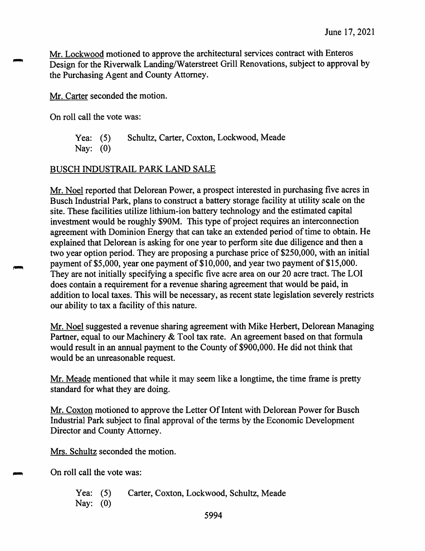Mr. Lockwood motioned to approve the architectural services contract with Enteros Design for the Riverwalk Landing/Waterstreet Grill Renovations, subject to approval by the Purchasing Agent and County Attorney.

Mr. Carter seconded the motion.

On roll call the vote was:

Yea: (5) Schultz, Carter, Coxton, Lockwood, Meade Nay: (0)

# BUSCH INDUSTRAIL PARK LAND SALE

Mr. Noel reported that Delorean Power, a prospect interested in purchasing five acres in Busch Industrial Park, plans to construct a battery storage facility at utility scale on the site.These facilities utilize lithium-ion battery technology and the estimated capital investment would be roughly \$90M. This type of project requires an interconnection agreement with Dominion Energy that can take an extended period of time to obtain. He explained that Delorean is asking for one year to perform site due diligence and then a two year option period. They are proposing a purchase price of \$250,000, with an initial payment of \$5,000, year one payment of \$10,000, and year two payment of \$15,000. They are not initially specifying a specific five acre area on our 20 acre tract. The LOI does contain a requirement for a revenue sharing agreement that would be paid, in addition to local taxes. This will be necessary, as recent state legislation severely restricts our ability to tax a facility of this nature.

Mr, Noel suggested a revenue sharing agreement with Mike Herbert, Delorean Managing Partner, equal to our Machinery & Tool tax rate. An agreement based on that formula would result in an annual payment to the County of \$900,000. He did not think that would be an unreasonable request.

Mr. Meade mentioned that while it may seem like a longtime, the time frame is pretty standard for what they are doing.

Mr. Coxton motioned to approve the Letter Of Intent with Delorean Power for Busch Industrial Park subject to final approval of the terms by the Economic Development Director and County Attorney.

Mrs. Schultz seconded the motion.

On roll call the vote was:

Yea: (5) Nay: (0) Carter, Coxton, Lockwood, Schultz, Meade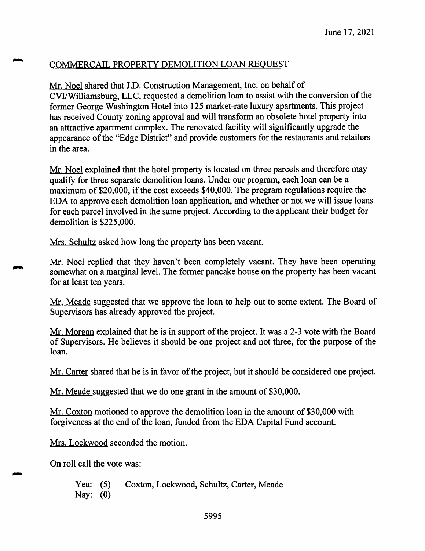# COMMERCAIL PROPERTY DEMOLITION LOAN REQUEST

Mr. Noel shared that J.D. Construction Management, Inc. on behalf of CVI/Williamsburg, LLC, requested a demolition loan to assist with the conversion of the former George Washington Hotel into 125 market-rate luxury apartments. This project has received County zoning approval and will transform an obsolete hotel property into an attractive apartment complex. The renovated facility will significantly upgrade the appearance of the "Edge District" and provide customers for the restaurants and retailers in the area.

Mr. Noel explained that the hotel property is located on three parcels and therefore may qualify for three separate demolition loans. Under our program, each loan can be a maximum of \$20,000, if the cost exceeds \$40,000.The program regulations require the EDA to approve each demolition loan application, and whether or not we will issue loans for each parcel involved in the same project. According to the applicant their budget for demolition is \$225,000.

Mrs. Schultz asked how long the property has been vacant.

Mr. Noel replied that they haven't been completely vacant. They have been operating somewhat on a marginal level. The former pancake house on the property has been vacant for at least ten years.

Mr. Meade suggested that we approve the loan to help out to some extent. The Board of Supervisors has already approved the project.

Mr. Morgan explained that he is in support of the project. It was a 2-3 vote with the Board of Supervisors. He believes it should be one project and not three, for the purpose of the loan.

Mr.Carter shared that he is in favor of the project, but it should be considered one project.

Mr. Meade suggested that we do one grant in the amount of \$30,000.

Mr. Coxton motioned to approve the demolition loan in the amount of \$30,000 with forgiveness at the end of the loan, funded from the EDA Capital Fund account.

Mrs. Lockwood seconded the motion.

On roll call the vote was:

Yea: (5) Nay: (0) Coxton, Lockwood, Schultz, Carter, Meade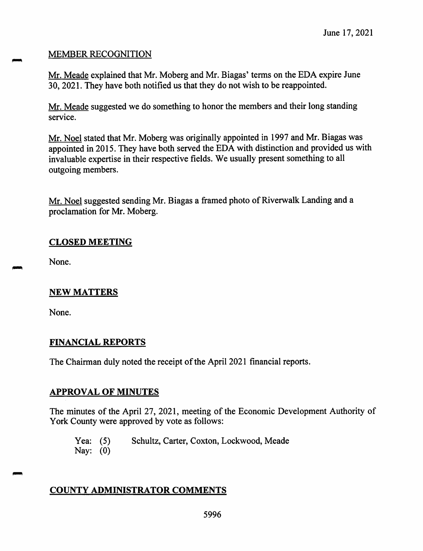## MEMBER RECOGNITION

Mr. Meade explained that Mr. Moberg and Mr. Biagas' terms on the EDA expire June 30, 2021. They have both notified us that they do not wish to be reappointed.

Mr. Meade suggested we do something to honor the members and their long standing service.

Mr. Noel stated that Mr. Moberg was originally appointed in 1997 and Mr. Biagas was appointed in <sup>2015</sup>. They have both served the EDA with distinction and provided us with invaluable expertise in their respective fields. We usually presen<sup>t</sup> something to all outgoing members.

Mr. Noel suggested sending Mr. Biagas <sup>a</sup> framed <sup>p</sup>hoto of Riverwalk Landing and <sup>a</sup> proclamation for Mr. Moberg.

#### **CLOSED MEETING**

None.

## **NEW MATTERS**

None.

## **FINANCIAL REPORTS**

The Chairman duly noted the receipt of the April 2021 financial reports.

#### **APPROVAL OF MINUTES**

The minutes of the April 27, 2021, meeting of the Economic Development Authority of York County were approved by vote as follows:

Yea: (5) Schultz, Carter, Coxton, Lockwood, Meade

Nay: (0)

# **COUNTY ADMINISTRATOR COMMENTS**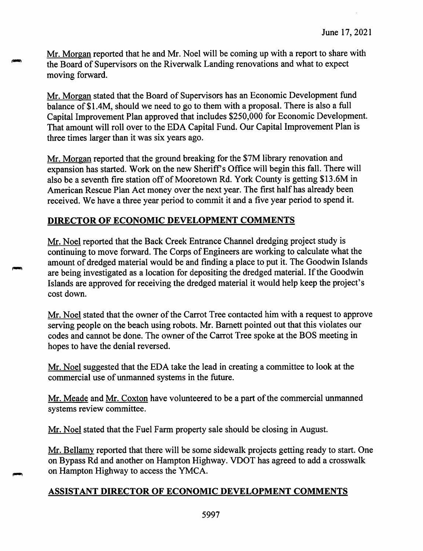Mr. Morgan reported that he and Mr. Noel will be coming up with <sup>a</sup> repor<sup>t</sup> to share with the Board of Supervisors on the Riverwalk Landing renovations and what to expec<sup>t</sup> moving forward.

Mr. Morgan stated that the Board of Supervisors has an Economic Development fund balance of \$1.4M, should we need to go to them with a proposal. There is also a full Capital Improvement Plan approve<sup>d</sup> that includes \$250,000 for Economic Development. That amount will roll over to the EDA Capital Fund. Our Capital Improvement Plan is three times larger than it was six years ago.

Mr. Morgan reported that the groun<sup>d</sup> breaking for the \$7<sup>M</sup> library renovation and expansion has started. Work on the new Sheriffs Office will begin this fall. There will also be <sup>a</sup> seventh fire station off of Mooretown Rd. York County is getting \$13.6<sup>M</sup> in American Rescue Plan Act money over the next year. The first half has already been received. We have <sup>a</sup> three year period to commit it and <sup>a</sup> five year period to spen<sup>d</sup> it.

#### **DIRECTOR OF ECONOMIC DEVELOPMENT COMMENTS**

Mr. Noel reported that the Back Creek Entrance Channel dredging project study is continuing to move forward. The Corps of Engineers are working to calculate what the amount of dredged material would be and finding <sup>a</sup> <sup>p</sup>lace to pu<sup>t</sup> it. The Goodwin Islands are being investigated as <sup>a</sup> location for depositing the dredged material. If the Goodwin Islands are approved for receiving the dredged material it would help keep the project'<sup>s</sup> cost down.

Mr. Noel stated that the owner of the Carrot Tree contacted him with a request to approve serving people on the beach using robots. Mr. Barnett pointed out that this violates our codes and cannot be done. The owner of the Carrot Tree spoke at the BOS meeting in hopes to have the denial reversed.

Mr. Noel suggested that the EDA take the lead in creating <sup>a</sup> committee to look at the commercial use of unmanned systems in the future.

Mr. Meade and Mr. Coxton have volunteered to be a part of the commercial unmanned systems review committee.

Mr. Noel stated that the Fuel Farm property sale should be closing in August.

Mr. Bellamy reported that there will be some sidewalk projects getting ready to start. One on Bypass Rd and another on Hampton Highway. VDOT has agreed to add <sup>a</sup> crosswalk on Hampton Highway to access the YMCA.

## **ASSISTANT DIRECTOR OF ECONOMIC DEVELOPMENT COMMENTS**